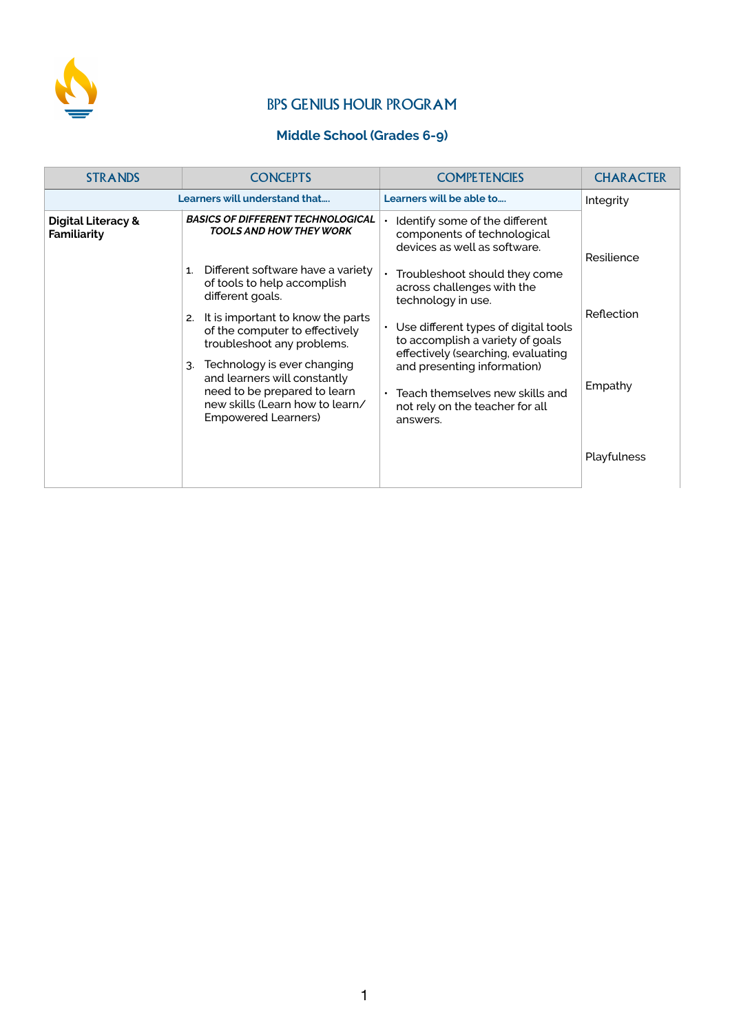

## BPS GENIUS HOUR PROGRAM

## **Middle School (Grades 6-9)**

| <b>STRANDS</b>                               | <b>CONCEPTS</b>                                                                                                                                                                                                                                                                                                                                          | <b>COMPETENCIES</b>                                                                                                                                                                                                                                                                                                                              | <b>CHARACTER</b>         |
|----------------------------------------------|----------------------------------------------------------------------------------------------------------------------------------------------------------------------------------------------------------------------------------------------------------------------------------------------------------------------------------------------------------|--------------------------------------------------------------------------------------------------------------------------------------------------------------------------------------------------------------------------------------------------------------------------------------------------------------------------------------------------|--------------------------|
|                                              | Learners will understand that                                                                                                                                                                                                                                                                                                                            | Learners will be able to                                                                                                                                                                                                                                                                                                                         | Integrity                |
| <b>Digital Literacy &amp;</b><br>Familiarity | <b>BASICS OF DIFFERENT TECHNOLOGICAL</b><br><b>TOOLS AND HOW THEY WORK</b><br>Different software have a variety<br>1.<br>of tools to help accomplish<br>different goals.<br>It is important to know the parts<br>2.<br>of the computer to effectively<br>troubleshoot any problems.<br>Technology is ever changing<br>3.<br>and learners will constantly | Identify some of the different<br>components of technological<br>devices as well as software.<br>Troubleshoot should they come<br>$\bullet$<br>across challenges with the<br>technology in use.<br>Use different types of digital tools<br>to accomplish a variety of goals<br>effectively (searching, evaluating<br>and presenting information) | Resilience<br>Reflection |
|                                              | need to be prepared to learn<br>new skills (Learn how to learn/<br><b>Empowered Learners)</b>                                                                                                                                                                                                                                                            | Teach themselves new skills and<br>not rely on the teacher for all<br>answers.                                                                                                                                                                                                                                                                   | Empathy<br>Playfulness   |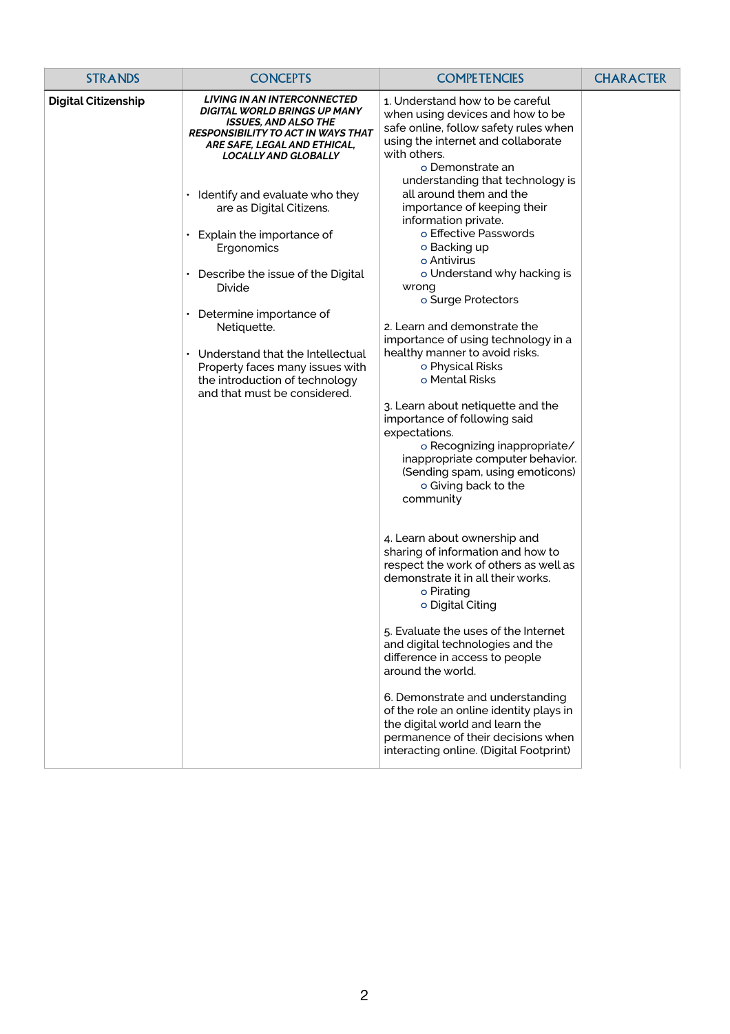| <b>STRANDS</b>             | <b>CONCEPTS</b>                                                                                                                                                                                                      | <b>COMPETENCIES</b>                                                                                                                                                                                                        | <b>CHARACTER</b> |
|----------------------------|----------------------------------------------------------------------------------------------------------------------------------------------------------------------------------------------------------------------|----------------------------------------------------------------------------------------------------------------------------------------------------------------------------------------------------------------------------|------------------|
| <b>Digital Citizenship</b> | <b>LIVING IN AN INTERCONNECTED</b><br><b>DIGITAL WORLD BRINGS UP MANY</b><br><b>ISSUES, AND ALSO THE</b><br><b>RESPONSIBILITY TO ACT IN WAYS THAT</b><br>ARE SAFE, LEGAL AND ETHICAL,<br><b>LOCALLY AND GLOBALLY</b> | 1. Understand how to be careful<br>when using devices and how to be<br>safe online, follow safety rules when<br>using the internet and collaborate<br>with others.<br>o Demonstrate an<br>understanding that technology is |                  |
|                            | $\cdot$ Identify and evaluate who they<br>are as Digital Citizens.                                                                                                                                                   | all around them and the<br>importance of keeping their<br>information private.                                                                                                                                             |                  |
|                            | Explain the importance of<br>Ergonomics                                                                                                                                                                              | o Effective Passwords<br>o Backing up<br>o Antivirus                                                                                                                                                                       |                  |
|                            | Describe the issue of the Digital<br>٠<br>Divide                                                                                                                                                                     | o Understand why hacking is<br>wrong<br>o Surge Protectors                                                                                                                                                                 |                  |
|                            | Determine importance of<br>٠<br>Netiquette.                                                                                                                                                                          | 2. Learn and demonstrate the<br>importance of using technology in a                                                                                                                                                        |                  |
|                            | • Understand that the Intellectual<br>Property faces many issues with<br>the introduction of technology<br>and that must be considered.                                                                              | healthy manner to avoid risks.<br>o Physical Risks<br>o Mental Risks                                                                                                                                                       |                  |
|                            |                                                                                                                                                                                                                      | 3. Learn about netiquette and the<br>importance of following said<br>expectations.<br>o Recognizing inappropriate/<br>inappropriate computer behavior.                                                                     |                  |
|                            |                                                                                                                                                                                                                      | (Sending spam, using emoticons)<br>o Giving back to the<br>community                                                                                                                                                       |                  |
|                            |                                                                                                                                                                                                                      | 4. Learn about ownership and<br>sharing of information and how to<br>respect the work of others as well as<br>demonstrate it in all their works.<br>o Pirating<br>o Digital Citing                                         |                  |
|                            |                                                                                                                                                                                                                      | 5. Evaluate the uses of the Internet<br>and digital technologies and the<br>difference in access to people<br>around the world.                                                                                            |                  |
|                            |                                                                                                                                                                                                                      | 6. Demonstrate and understanding<br>of the role an online identity plays in<br>the digital world and learn the<br>permanence of their decisions when<br>interacting online. (Digital Footprint)                            |                  |